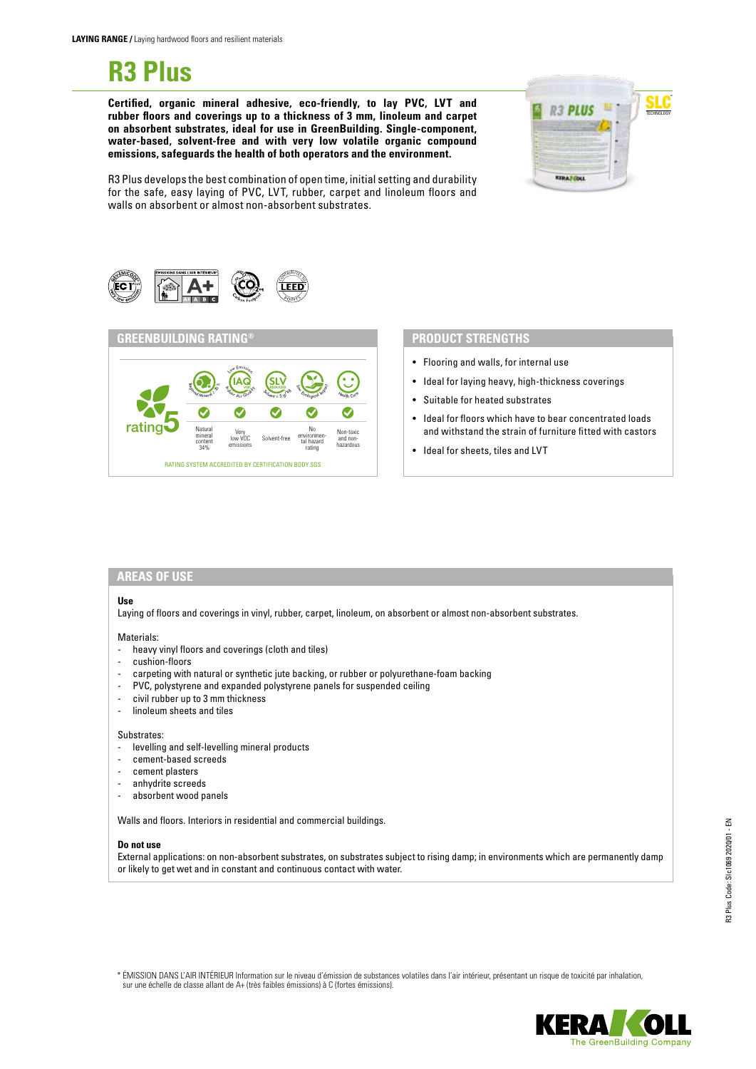# **R3 Plus**

**Certified, organic mineral adhesive, eco-friendly, to lay PVC, LVT and rubber floors and coverings up to a thickness of 3 mm, linoleum and carpet on absorbent substrates, ideal for use in GreenBuilding. Single-component, water-based, solvent-free and with very low volatile organic compound emissions, safeguards the health of both operators and the environment.**



R3 Plus develops the best combination of open time, initial setting and durability for the safe, easy laying of PVC, LVT, rubber, carpet and linoleum floors and walls on absorbent or almost non-absorbent substrates.





- Flooring and walls, for internal use
- Ideal for laying heavy, high-thickness coverings
- Suitable for heated substrates
- Ideal for floors which have to bear concentrated loads and withstand the strain of furniture fitted with castors
- Ideal for sheets, tiles and LVT

## **AREAS OF USE**

#### **Use**

Laying of floors and coverings in vinyl, rubber, carpet, linoleum, on absorbent or almost non-absorbent substrates.

#### Materials:

- heavy vinyl floors and coverings (cloth and tiles)
- cushion-floors
- carpeting with natural or synthetic jute backing, or rubber or polyurethane-foam backing
- PVC, polystyrene and expanded polystyrene panels for suspended ceiling
- civil rubber up to 3 mm thickness
- linoleum sheets and tiles

#### Substrates:

- levelling and self-levelling mineral products
- cement-based screeds
- cement plasters
- anhydrite screeds
- absorbent wood panels

Walls and floors. Interiors in residential and commercial buildings.

### **Do not use**

External applications: on non-absorbent substrates, on substrates subject to rising damp; in environments which are permanently damp or likely to get wet and in constant and continuous contact with water.

\* ÉMISSION DANS L'AIR INTÉRIEUR Information sur le niveau d'émission de substances volatiles dans l'air intérieur, présentant un risque de toxicité par inhalation, sur une échelle de classe allant de A+ (très faibles émissions) à C (fortes émissions).

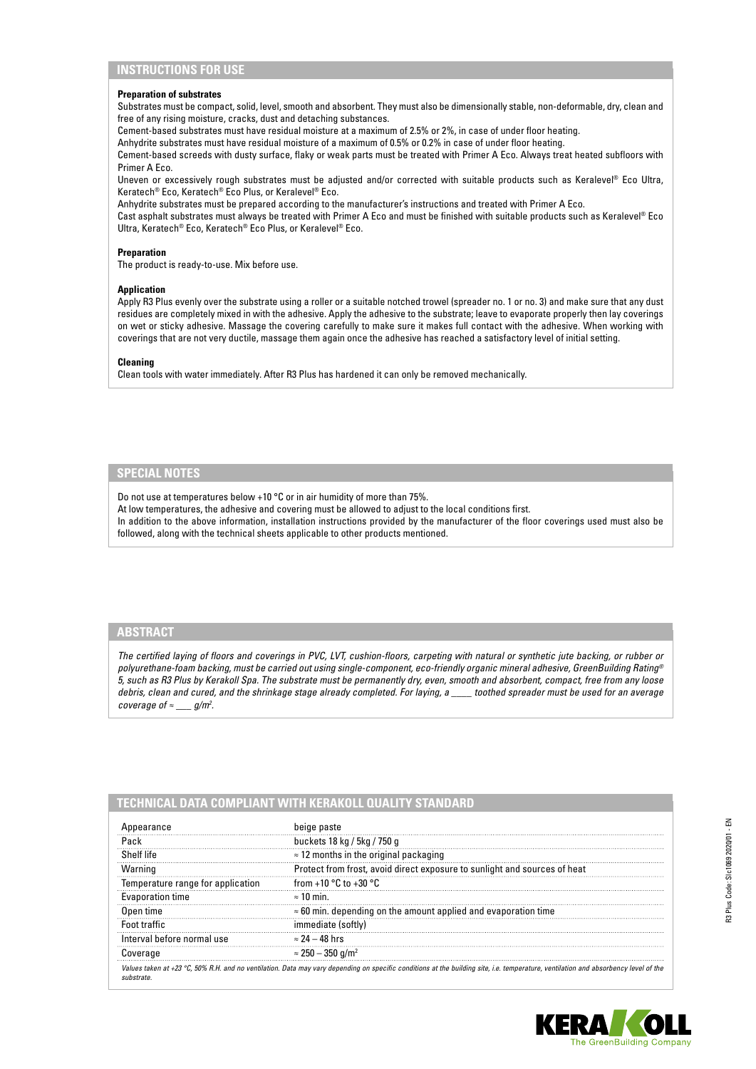# **INSTRUCTIONS FOR USE**

#### **Preparation of substrates**

Substrates must be compact, solid, level, smooth and absorbent. They must also be dimensionally stable, non-deformable, dry, clean and free of any rising moisture, cracks, dust and detaching substances.

Cement-based substrates must have residual moisture at a maximum of 2.5% or 2%, in case of under floor heating.

Anhydrite substrates must have residual moisture of a maximum of 0.5% or 0.2% in case of under floor heating.

Cement-based screeds with dusty surface, flaky or weak parts must be treated with Primer A Eco. Always treat heated subfloors with Primer A Eco.

Uneven or excessively rough substrates must be adjusted and/or corrected with suitable products such as Keralevel® Eco Ultra, Keratech® Eco, Keratech® Eco Plus, or Keralevel® Eco.

Anhydrite substrates must be prepared according to the manufacturer's instructions and treated with Primer A Eco.

Cast asphalt substrates must always be treated with Primer A Eco and must be finished with suitable products such as Keralevel® Eco Ultra, Keratech® Eco, Keratech® Eco Plus, or Keralevel® Eco.

#### **Preparation**

The product is ready-to-use. Mix before use.

#### **Application**

Apply R3 Plus evenly over the substrate using a roller or a suitable notched trowel (spreader no. 1 or no. 3) and make sure that any dust residues are completely mixed in with the adhesive. Apply the adhesive to the substrate; leave to evaporate properly then lay coverings on wet or sticky adhesive. Massage the covering carefully to make sure it makes full contact with the adhesive. When working with coverings that are not very ductile, massage them again once the adhesive has reached a satisfactory level of initial setting.

#### **Cleaning**

Clean tools with water immediately. After R3 Plus has hardened it can only be removed mechanically.

# **SPECIAL NOTES**

Do not use at temperatures below +10 °C or in air humidity of more than 75%.

At low temperatures, the adhesive and covering must be allowed to adjust to the local conditions first.

In addition to the above information, installation instructions provided by the manufacturer of the floor coverings used must also be followed, along with the technical sheets applicable to other products mentioned.

# **ABSTRACT**

*The certified laying of floors and coverings in PVC, LVT, cushion-floors, carpeting with natural or synthetic jute backing, or rubber or polyurethane-foam backing, must be carried out using single-component, eco-friendly organic mineral adhesive, GreenBuilding Rating® 5, such as R3 Plus by Kerakoll Spa. The substrate must be permanently dry, even, smooth and absorbent, compact, free from any loose debris, clean and cured, and the shrinkage stage already completed. For laying, a \_\_\_\_ toothed spreader must be used for an average coverage of*  $\approx$  \_\_\_ *g*/m<sup>2</sup>.

# **TECHNICAL DATA COMPLIANT WITH KERAKOLL QUALITY STANDARD**

| pearance                                                                                                                                                                            | beige paste                                                               |
|-------------------------------------------------------------------------------------------------------------------------------------------------------------------------------------|---------------------------------------------------------------------------|
| Pack                                                                                                                                                                                | buckets 18 kg / 5kg / 750 g                                               |
| Shelf life                                                                                                                                                                          | $\approx$ 12 months in the original packaging                             |
| Warning                                                                                                                                                                             | Protect from frost, avoid direct exposure to sunlight and sources of heat |
| Temperature range for application                                                                                                                                                   | from +10 $^{\circ}$ C to +30 $^{\circ}$ C                                 |
| Evaporation time                                                                                                                                                                    | $\approx$ 10 min.                                                         |
| Open time                                                                                                                                                                           | $\approx$ 60 min. depending on the amount applied and evaporation time    |
| Foot traffic                                                                                                                                                                        | immediate (softly)                                                        |
| Interval before normal use                                                                                                                                                          | $\approx$ 24 – 48 hrs                                                     |
| Coverage                                                                                                                                                                            | $\approx$ 250 – 350 g/m <sup>2</sup>                                      |
| Values taken at +23 °C, 50% R.H. and no ventilation. Data may vary depending on specific conditions at the building site, i.e. temperature, ventilation and absorbency level of the |                                                                           |